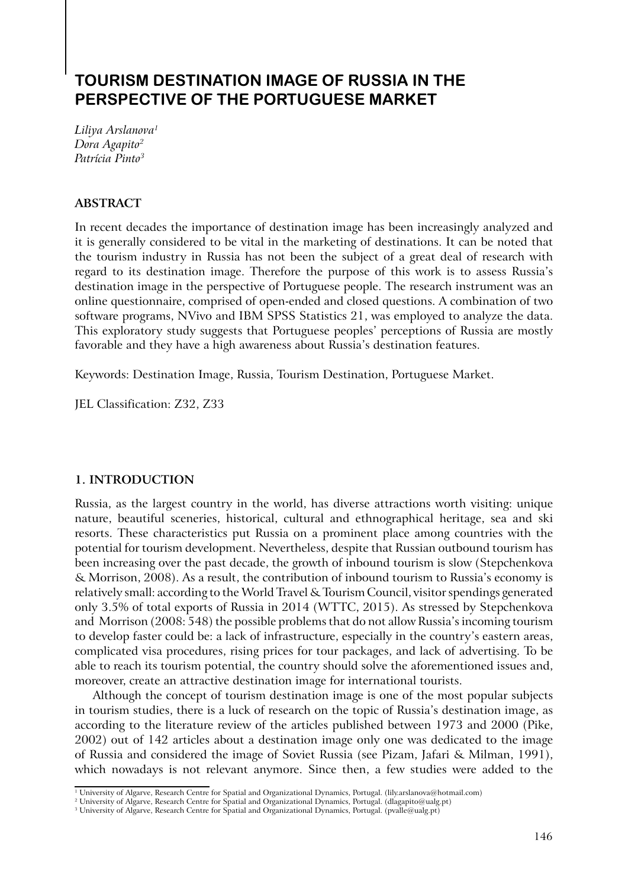# **TOURISM DESTINATION IMAGE OF RUSSIA IN THE PERSPECTIVE OF THE PORTUGUESE MARKET**

*Liliya Arslanova1 Dora Agapito2 Patrícia Pinto3*

# **ABSTRACT**

In recent decades the importance of destination image has been increasingly analyzed and it is generally considered to be vital in the marketing of destinations. It can be noted that the tourism industry in Russia has not been the subject of a great deal of research with regard to its destination image. Therefore the purpose of this work is to assess Russia's destination image in the perspective of Portuguese people. The research instrument was an online questionnaire, comprised of open-ended and closed questions. A combination of two software programs, NVivo and IBM SPSS Statistics 21, was employed to analyze the data. This exploratory study suggests that Portuguese peoples' perceptions of Russia are mostly favorable and they have a high awareness about Russia's destination features.

Keywords: Destination Image, Russia, Tourism Destination, Portuguese Market.

JEL Classification: Z32, Z33

# **1. INTRODUCTION**

Russia, as the largest country in the world, has diverse attractions worth visiting: unique nature, beautiful sceneries, historical, cultural and ethnographical heritage, sea and ski resorts. These characteristics put Russia on a prominent place among countries with the potential for tourism development. Nevertheless, despite that Russian outbound tourism has been increasing over the past decade, the growth of inbound tourism is slow (Stepchenkova & Morrison, 2008). As a result, the contribution of inbound tourism to Russia's economy is relatively small: according to the World Travel & Tourism Council, visitor spendings generated only 3.5% of total exports of Russia in 2014 (WTTC, 2015). As stressed by Stepchenkova and Morrison (2008: 548) the possible problems that do not allow Russia's incoming tourism to develop faster could be: a lack of infrastructure, especially in the country's eastern areas, complicated visa procedures, rising prices for tour packages, and lack of advertising. To be able to reach its tourism potential, the country should solve the aforementioned issues and, moreover, create an attractive destination image for international tourists.

Although the concept of tourism destination image is one of the most popular subjects in tourism studies, there is a luck of research on the topic of Russia's destination image, as according to the literature review of the articles published between 1973 and 2000 (Pike, 2002) out of 142 articles about a destination image only one was dedicated to the image of Russia and considered the image of Soviet Russia (see Pizam, Jafari & Milman, 1991), which nowadays is not relevant anymore. Since then, a few studies were added to the

<sup>1</sup> University of Algarve, Research Centre for Spatial and Organizational Dynamics, Portugal. (lily.arslanova@hotmail.com)

 $^2$  University of Algarve, Research Centre for Spatial and Organizational Dynamics, Portugal. (dlagapito@ualg.pt)

<sup>3</sup> University of Algarve, Research Centre for Spatial and Organizational Dynamics, Portugal. (pvalle@ualg.pt)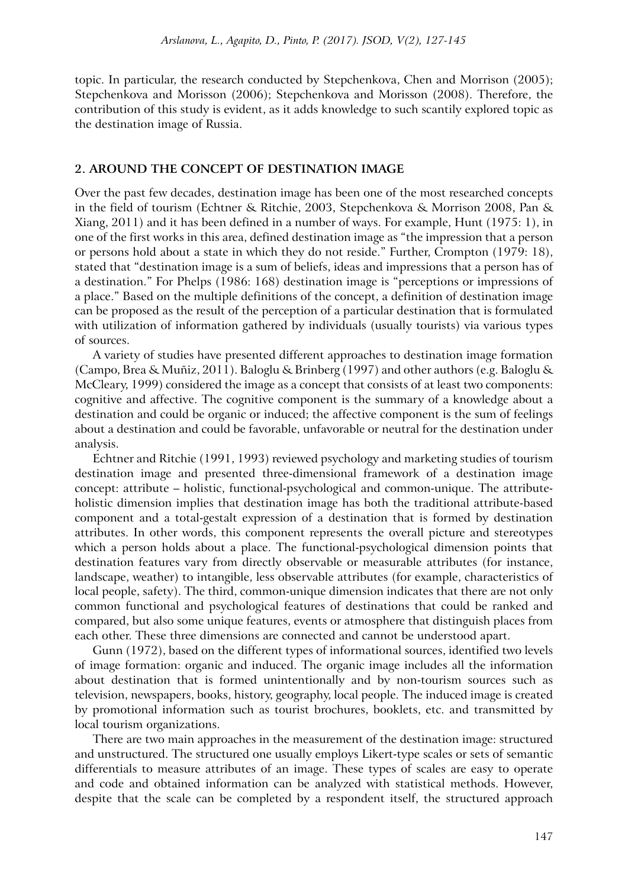topic. In particular, the research conducted by Stepchenkova, Chen and Morrison (2005); Stepchenkova and Morisson (2006); Stepchenkova and Morisson (2008). Therefore, the contribution of this study is evident, as it adds knowledge to such scantily explored topic as the destination image of Russia.

# **2. AROUND THE CONCEPT OF DESTINATION IMAGE**

Over the past few decades, destination image has been one of the most researched concepts in the field of tourism (Echtner & Ritchie, 2003, Stepchenkova & Morrison 2008, Pan & Xiang, 2011) and it has been defined in a number of ways. For example, Hunt (1975: 1), in one of the first works in this area, defined destination image as "the impression that a person or persons hold about a state in which they do not reside." Further, Crompton (1979: 18), stated that "destination image is a sum of beliefs, ideas and impressions that a person has of a destination." For Phelps (1986: 168) destination image is "perceptions or impressions of a place." Based on the multiple definitions of the concept, a definition of destination image can be proposed as the result of the perception of a particular destination that is formulated with utilization of information gathered by individuals (usually tourists) via various types of sources.

A variety of studies have presented different approaches to destination image formation (Campo, Brea & Muñiz, 2011). Baloglu & Brinberg (1997) and other authors (e.g. Baloglu & McCleary, 1999) considered the image as a concept that consists of at least two components: cognitive and affective. The cognitive component is the summary of a knowledge about a destination and could be organic or induced; the affective component is the sum of feelings about a destination and could be favorable, unfavorable or neutral for the destination under analysis.

Echtner and Ritchie (1991, 1993) reviewed psychology and marketing studies of tourism destination image and presented three-dimensional framework of a destination image concept: attribute – holistic, functional-psychological and common-unique. The attributeholistic dimension implies that destination image has both the traditional attribute-based component and a total-gestalt expression of a destination that is formed by destination attributes. In other words, this component represents the overall picture and stereotypes which a person holds about a place. The functional-psychological dimension points that destination features vary from directly observable or measurable attributes (for instance, landscape, weather) to intangible, less observable attributes (for example, characteristics of local people, safety). The third, common-unique dimension indicates that there are not only common functional and psychological features of destinations that could be ranked and compared, but also some unique features, events or atmosphere that distinguish places from each other. These three dimensions are connected and cannot be understood apart.

Gunn (1972), based on the different types of informational sources, identified two levels of image formation: organic and induced. The organic image includes all the information about destination that is formed unintentionally and by non-tourism sources such as television, newspapers, books, history, geography, local people. The induced image is created by promotional information such as tourist brochures, booklets, etc. and transmitted by local tourism organizations.

There are two main approaches in the measurement of the destination image: structured and unstructured. The structured one usually employs Likert-type scales or sets of semantic differentials to measure attributes of an image. These types of scales are easy to operate and code and obtained information can be analyzed with statistical methods. However, despite that the scale can be completed by a respondent itself, the structured approach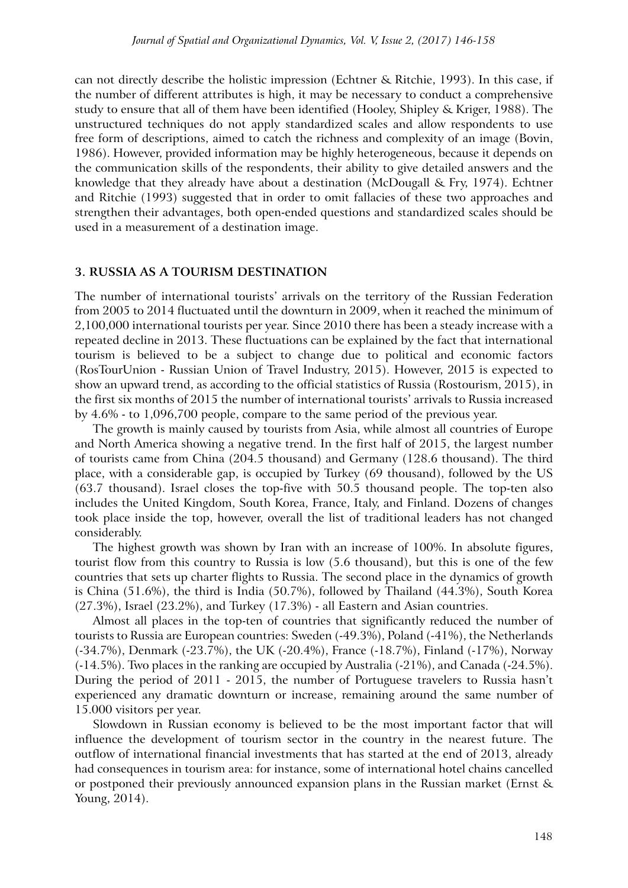can not directly describe the holistic impression (Echtner & Ritchie, 1993). In this case, if the number of different attributes is high, it may be necessary to conduct a comprehensive study to ensure that all of them have been identified (Hooley, Shipley & Kriger, 1988). The unstructured techniques do not apply standardized scales and allow respondents to use free form of descriptions, aimed to catch the richness and complexity of an image (Bovin, 1986). However, provided information may be highly heterogeneous, because it depends on the communication skills of the respondents, their ability to give detailed answers and the knowledge that they already have about a destination (McDougall & Fry, 1974). Echtner and Ritchie (1993) suggested that in order to omit fallacies of these two approaches and strengthen their advantages, both open-ended questions and standardized scales should be used in a measurement of a destination image.

#### **3. Russia as a tourism destination**

The number of international tourists' arrivals on the territory of the Russian Federation from 2005 to 2014 fluctuated until the downturn in 2009, when it reached the minimum of 2,100,000 international tourists per year. Since 2010 there has been a steady increase with a repeated decline in 2013. These fluctuations can be explained by the fact that international tourism is believed to be a subject to change due to political and economic factors (RosTourUnion - Russian Union of Travel Industry, 2015). However, 2015 is expected to show an upward trend, as according to the official statistics of Russia (Rostourism, 2015), in the first six months of 2015 the number of international tourists' arrivals to Russia increased by 4.6% - to 1,096,700 people, compare to the same period of the previous year.

The growth is mainly caused by tourists from Asia, while almost all countries of Europe and North America showing a negative trend. In the first half of 2015, the largest number of tourists came from China (204.5 thousand) and Germany (128.6 thousand). The third place, with a considerable gap, is occupied by Turkey (69 thousand), followed by the US (63.7 thousand). Israel closes the top-five with 50.5 thousand people. The top-ten also includes the United Kingdom, South Korea, France, Italy, and Finland. Dozens of changes took place inside the top, however, overall the list of traditional leaders has not changed considerably.

The highest growth was shown by Iran with an increase of 100%. In absolute figures, tourist flow from this country to Russia is low (5.6 thousand), but this is one of the few countries that sets up charter flights to Russia. The second place in the dynamics of growth is China (51.6%), the third is India (50.7%), followed by Thailand (44.3%), South Korea (27.3%), Israel (23.2%), and Turkey (17.3%) - all Eastern and Asian countries.

Almost all places in the top-ten of countries that significantly reduced the number of tourists to Russia are European countries: Sweden (-49.3%), Poland (-41%), the Netherlands (-34.7%), Denmark (-23.7%), the UK (-20.4%), France (-18.7%), Finland (-17%), Norway (-14.5%). Two places in the ranking are occupied by Australia (-21%), and Canada (-24.5%). During the period of 2011 - 2015, the number of Portuguese travelers to Russia hasn't experienced any dramatic downturn or increase, remaining around the same number of 15.000 visitors per year.

Slowdown in Russian economy is believed to be the most important factor that will influence the development of tourism sector in the country in the nearest future. The outflow of international financial investments that has started at the end of 2013, already had consequences in tourism area: for instance, some of international hotel chains cancelled or postponed their previously announced expansion plans in the Russian market (Ernst & Young, 2014).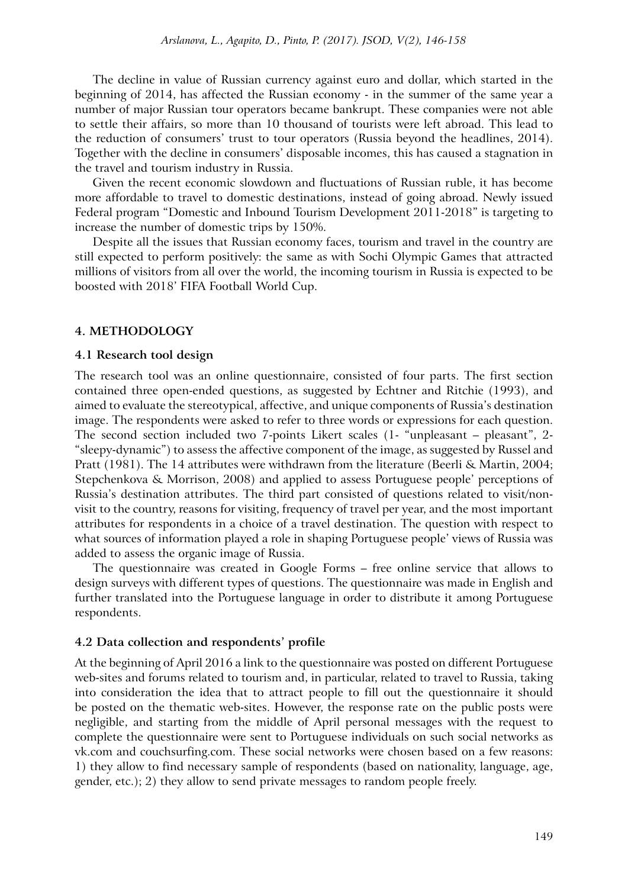The decline in value of Russian currency against euro and dollar, which started in the beginning of 2014, has affected the Russian economy - in the summer of the same year a number of major Russian tour operators became bankrupt. These companies were not able to settle their affairs, so more than 10 thousand of tourists were left abroad. This lead to the reduction of consumers' trust to tour operators (Russia beyond the headlines, 2014). Together with the decline in consumers' disposable incomes, this has caused a stagnation in the travel and tourism industry in Russia.

Given the recent economic slowdown and fluctuations of Russian ruble, it has become more affordable to travel to domestic destinations, instead of going abroad. Newly issued Federal program "Domestic and Inbound Tourism Development 2011-2018" is targeting to increase the number of domestic trips by 150%.

Despite all the issues that Russian economy faces, tourism and travel in the country are still expected to perform positively: the same as with Sochi Olympic Games that attracted millions of visitors from all over the world, the incoming tourism in Russia is expected to be boosted with 2018' FIFA Football World Cup.

### **4. METHODOLOGY**

#### **4.1 Research tool design**

The research tool was an online questionnaire, consisted of four parts. The first section contained three open-ended questions, as suggested by Echtner and Ritchie (1993), and aimed to evaluate the stereotypical, affective, and unique components of Russia's destination image. The respondents were asked to refer to three words or expressions for each question. The second section included two 7-points Likert scales (1- "unpleasant – pleasant", 2- "sleepy-dynamic") to assess the affective component of the image, as suggested by Russel and Pratt (1981). The 14 attributes were withdrawn from the literature (Beerli & Martin, 2004; Stepchenkova & Morrison, 2008) and applied to assess Portuguese people' perceptions of Russia's destination attributes. The third part consisted of questions related to visit/nonvisit to the country, reasons for visiting, frequency of travel per year, and the most important attributes for respondents in a choice of a travel destination. The question with respect to what sources of information played a role in shaping Portuguese people' views of Russia was added to assess the organic image of Russia.

The questionnaire was created in Google Forms – free online service that allows to design surveys with different types of questions. The questionnaire was made in English and further translated into the Portuguese language in order to distribute it among Portuguese respondents.

#### **4.2 Data collection and respondents' profile**

At the beginning of April 2016 a link to the questionnaire was posted on different Portuguese web-sites and forums related to tourism and, in particular, related to travel to Russia, taking into consideration the idea that to attract people to fill out the questionnaire it should be posted on the thematic web-sites. However, the response rate on the public posts were negligible, and starting from the middle of April personal messages with the request to complete the questionnaire were sent to Portuguese individuals on such social networks as vk.com and couchsurfing.com. These social networks were chosen based on a few reasons: 1) they allow to find necessary sample of respondents (based on nationality, language, age, gender, etc.); 2) they allow to send private messages to random people freely.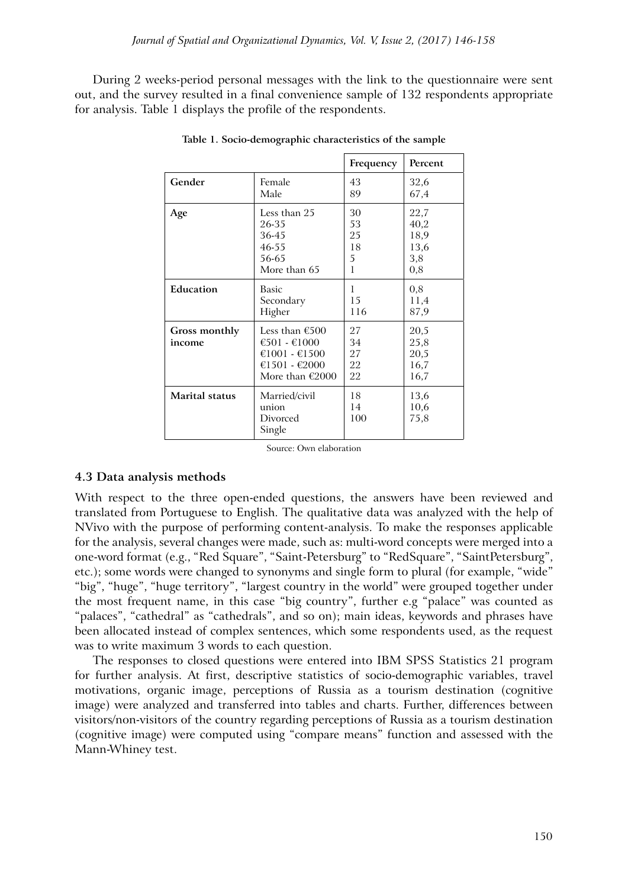During 2 weeks-period personal messages with the link to the questionnaire were sent out, and the survey resulted in a final convenience sample of 132 respondents appropriate for analysis. Table 1 displays the profile of the respondents.

|                         |                                                                                       | Frequency                  | Percent                              |
|-------------------------|---------------------------------------------------------------------------------------|----------------------------|--------------------------------------|
| Gender                  | Female                                                                                | 43                         | 32,6                                 |
|                         | Male                                                                                  | 89                         | 67,4                                 |
| Age                     | Less than 25                                                                          | 30                         | 22,7                                 |
|                         | 26-35                                                                                 | 53                         | 40,2                                 |
|                         | 36-45                                                                                 | 25                         | 18,9                                 |
|                         | 46-55                                                                                 | 18                         | 13,6                                 |
|                         | 56-65                                                                                 | 5                          | 3,8                                  |
|                         | More than 65                                                                          | 1                          | 0,8                                  |
| Education               | Basic                                                                                 | 1                          | 0,8                                  |
|                         | Secondary                                                                             | 15                         | 11,4                                 |
|                         | Higher                                                                                | 116                        | 87,9                                 |
| Gross monthly<br>income | Less than €500<br>€501 - €1000<br>€1001 - €1500<br>€1501 - €2000<br>More than $E2000$ | 27<br>34<br>27<br>22<br>22 | 20,5<br>25,8<br>20,5<br>16,7<br>16,7 |
| Marital status          | Married/civil<br>union<br>Divorced<br>Single                                          | 18<br>14<br>100            | 13,6<br>10,6<br>75,8                 |

**Table 1. Socio-demographic characteristics of the sample**

Source: Own elaboration

# **4.3 Data analysis methods**

With respect to the three open-ended questions, the answers have been reviewed and translated from Portuguese to English. The qualitative data was analyzed with the help of NVivo with the purpose of performing content-analysis. To make the responses applicable for the analysis, several changes were made, such as: multi-word concepts were merged into a one-word format (e.g., "Red Square", "Saint-Petersburg" to "RedSquare", "SaintPetersburg", etc.); some words were changed to synonyms and single form to plural (for example, "wide" "big", "huge", "huge territory", "largest country in the world" were grouped together under the most frequent name, in this case "big country", further e.g "palace" was counted as "palaces", "cathedral" as "cathedrals", and so on); main ideas, keywords and phrases have been allocated instead of complex sentences, which some respondents used, as the request was to write maximum 3 words to each question.

The responses to closed questions were entered into IBM SPSS Statistics 21 program for further analysis. At first, descriptive statistics of socio-demographic variables, travel motivations, organic image, perceptions of Russia as a tourism destination (cognitive image) were analyzed and transferred into tables and charts. Further, differences between visitors/non-visitors of the country regarding perceptions of Russia as a tourism destination (cognitive image) were computed using "compare means" function and assessed with the Mann-Whiney test.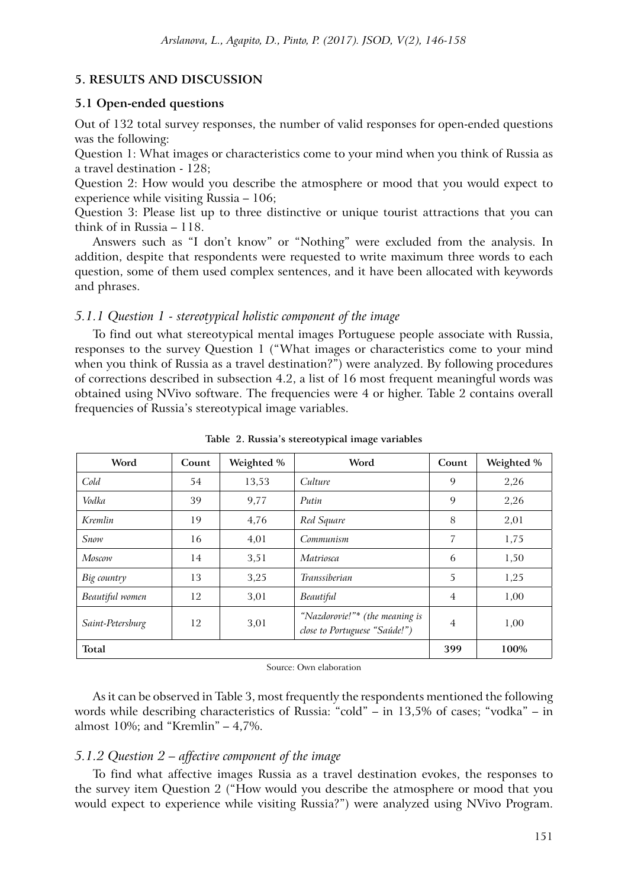# **5. RESULTS AND DISCUSSION**

#### **5.1 Open-ended questions**

Out of 132 total survey responses, the number of valid responses for open-ended questions was the following:

Question 1: What images or characteristics come to your mind when you think of Russia as a travel destination - 128;

Question 2: How would you describe the atmosphere or mood that you would expect to experience while visiting Russia – 106;

Question 3: Please list up to three distinctive or unique tourist attractions that you can think of in Russia – 118.

Answers such as "I don't know" or "Nothing" were excluded from the analysis. In addition, despite that respondents were requested to write maximum three words to each question, some of them used complex sentences, and it have been allocated with keywords and phrases.

## *5.1.1 Question 1 - stereotypical holistic component of the image*

To find out what stereotypical mental images Portuguese people associate with Russia, responses to the survey Question 1 ("What images or characteristics come to your mind when you think of Russia as a travel destination?") were analyzed. By following procedures of corrections described in subsection 4.2, a list of 16 most frequent meaningful words was obtained using NVivo software. The frequencies were 4 or higher. Table 2 contains overall frequencies of Russia's stereotypical image variables.

| Word             | Count | Weighted % | Word                                                            | Count          | Weighted % |
|------------------|-------|------------|-----------------------------------------------------------------|----------------|------------|
| Cold             | 54    | 13,53      | Culture                                                         | 9              | 2,26       |
| Vodka            | 39    | 9,77       | Putin                                                           | 9              | 2,26       |
| Kremlin          | 19    | 4,76       | Red Square                                                      | 8              | 2,01       |
| Snow             | 16    | 4,01       | Communism                                                       | 7              | 1,75       |
| Moscow           | 14    | 3,51       | Matriosca                                                       | 6              | 1,50       |
| Big country      | 13    | 3.25       | Transsiberian                                                   | 5              | 1,25       |
| Beautiful women  | 12    | 3,01       | Beautiful                                                       | $\overline{4}$ | 1,00       |
| Saint-Petersburg | 12    | 3,01       | "Nazdorovie!"* (the meaning is<br>close to Portuguese "Saúde!") | 4              | 1,00       |
| Total            |       |            |                                                                 | 399            | 100%       |

**Table 2. Russia's stereotypical image variables**

Source: Own elaboration

As it can be observed in Table 3, most frequently the respondents mentioned the following words while describing characteristics of Russia: "cold" – in 13,5% of cases; "vodka" – in almost 10%; and "Kremlin" – 4,7%.

### *5.1.2 Question 2 – affective component of the image*

To find what affective images Russia as a travel destination evokes, the responses to the survey item Question 2 ("How would you describe the atmosphere or mood that you would expect to experience while visiting Russia?") were analyzed using NVivo Program.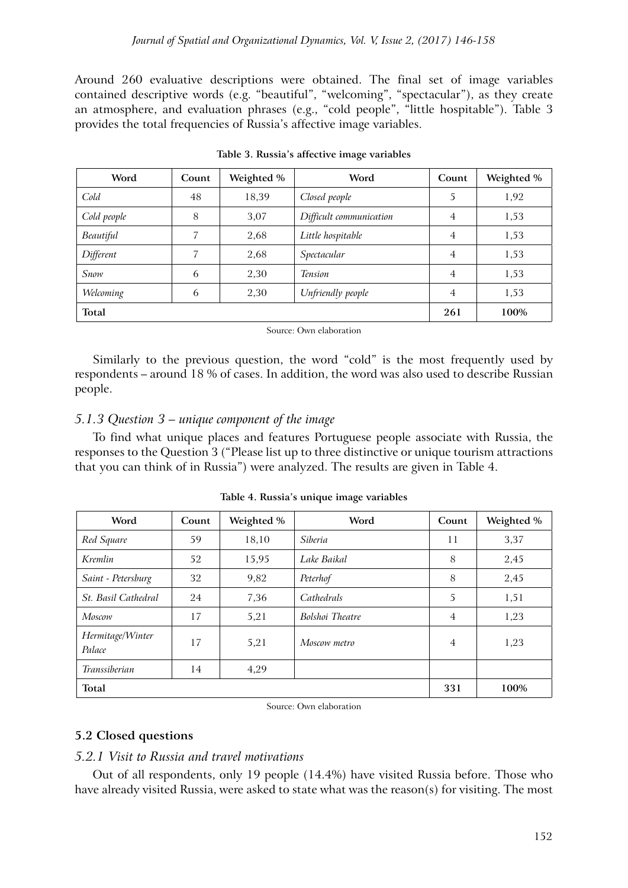Around 260 evaluative descriptions were obtained. The final set of image variables contained descriptive words (e.g. "beautiful", "welcoming", "spectacular"), as they create an atmosphere, and evaluation phrases (e.g., "cold people", "little hospitable"). Table 3 provides the total frequencies of Russia's affective image variables.

| Word        | Count | Weighted % | Word                    | Count          | Weighted % |
|-------------|-------|------------|-------------------------|----------------|------------|
| Cold        | 48    | 18,39      | Closed people           | 5              | 1,92       |
| Cold people | 8     | 3,07       | Difficult communication | $\overline{4}$ | 1,53       |
| Beautiful   | 7     | 2,68       | Little hospitable       | $\overline{4}$ | 1,53       |
| Different   | 7     | 2,68       | Spectacular             | $\overline{4}$ | 1,53       |
| Snow        | 6     | 2,30       | <b>Tension</b>          | $\overline{4}$ | 1,53       |
| Welcoming   | 6     | 2,30       | Unfriendly people       | $\overline{4}$ | 1,53       |
| Total       |       |            |                         | 261            | 100%       |

|  |  |  |  | Table 3. Russia's affective image variables |
|--|--|--|--|---------------------------------------------|
|--|--|--|--|---------------------------------------------|

#### Source: Own elaboration

Similarly to the previous question, the word "cold" is the most frequently used by respondents – around 18 % of cases. In addition, the word was also used to describe Russian people.

# *5.1.3 Question 3 – unique component of the image*

To find what unique places and features Portuguese people associate with Russia, the responses to the Question 3 ("Please list up to three distinctive or unique tourism attractions that you can think of in Russia") were analyzed. The results are given in Table 4.

| Word                       | Count | Weighted % | Word            | Count          | Weighted % |
|----------------------------|-------|------------|-----------------|----------------|------------|
| Red Square                 | 59    | 18,10      | <i>Siberia</i>  | 11             | 3,37       |
| Kremlin                    | 52    | 15,95      | Lake Baikal     | 8              | 2,45       |
| Saint - Petersburg         | 32    | 9,82       | Peterhof        | 8              | 2,45       |
| St. Basil Cathedral        | 24    | 7,36       | Cathedrals      | 5              | 1,51       |
| Moscow                     | 17    | 5,21       | Bolshoi Theatre | $\overline{4}$ | 1,23       |
| Hermitage/Winter<br>Palace | 17    | 5,21       | Moscow metro    | $\overline{4}$ | 1,23       |
| Transsiberian              | 14    | 4,29       |                 |                |            |
| Total                      |       |            |                 | 331            | 100%       |

**Table 4. Russia's unique image variables**

Source: Own elaboration

# **5.2 Closed questions**

### *5.2.1 Visit to Russia and travel motivations*

Out of all respondents, only 19 people (14.4%) have visited Russia before. Those who have already visited Russia, were asked to state what was the reason(s) for visiting. The most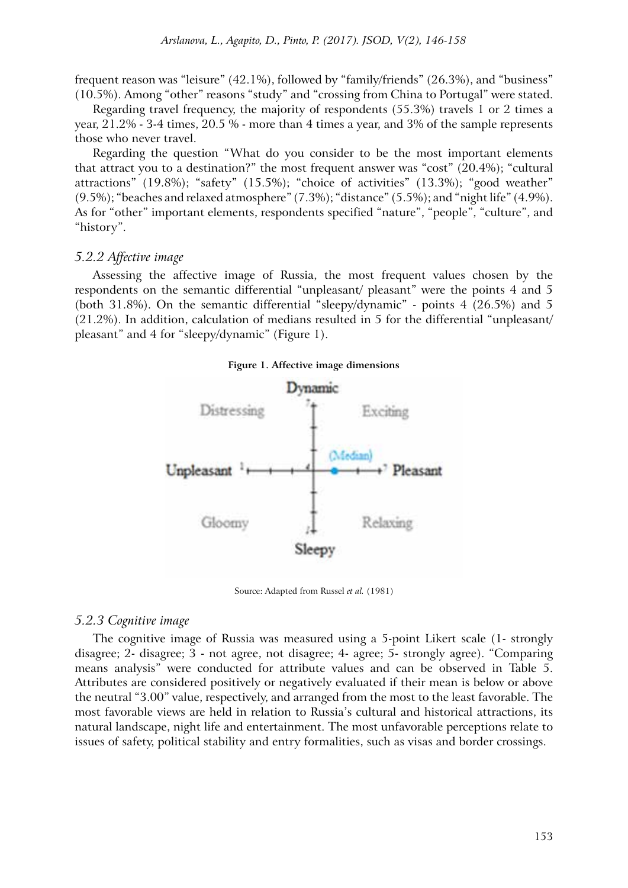frequent reason was "leisure" (42.1%), followed by "family/friends" (26.3%), and "business" (10.5%). Among "other" reasons "study" and "crossing from China to Portugal" were stated.

Regarding travel frequency, the majority of respondents (55.3%) travels 1 or 2 times a year, 21.2% - 3-4 times, 20.5 % - more than 4 times a year, and 3% of the sample represents those who never travel.

Regarding the question "What do you consider to be the most important elements that attract you to a destination?" the most frequent answer was "cost" (20.4%); "cultural attractions" (19.8%); "safety" (15.5%); "choice of activities" (13.3%); "good weather" (9.5%); "beaches and relaxed atmosphere" (7.3%); "distance" (5.5%); and "night life" (4.9%). As for "other" important elements, respondents specified "nature", "people", "culture", and "history".

# *5.2.2 Affective image*

Assessing the affective image of Russia, the most frequent values chosen by the respondents on the semantic differential "unpleasant/ pleasant" were the points 4 and 5 (both 31.8%). On the semantic differential "sleepy/dynamic" - points 4 (26.5%) and 5 (21.2%). In addition, calculation of medians resulted in 5 for the differential "unpleasant/ pleasant" and 4 for "sleepy/dynamic" (Figure 1).



Source: Adapted from Russel *et al.* (1981)

### *5.2.3 Cognitive image*

The cognitive image of Russia was measured using a 5-point Likert scale (1- strongly disagree; 2- disagree; 3 - not agree, not disagree; 4- agree; 5- strongly agree). "Comparing means analysis" were conducted for attribute values and can be observed in Table 5. Attributes are considered positively or negatively evaluated if their mean is below or above the neutral "3.00" value, respectively, and arranged from the most to the least favorable. The most favorable views are held in relation to Russia's cultural and historical attractions, its natural landscape, night life and entertainment. The most unfavorable perceptions relate to issues of safety, political stability and entry formalities, such as visas and border crossings.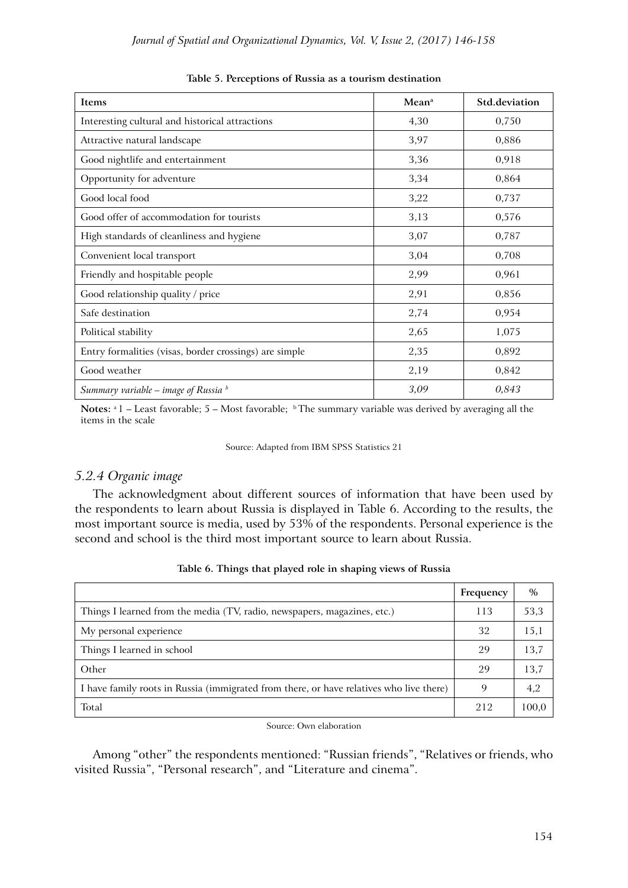| Items                                                  | Mean <sup>a</sup> | Std.deviation |
|--------------------------------------------------------|-------------------|---------------|
| Interesting cultural and historical attractions        | 4,30              | 0,750         |
| Attractive natural landscape                           | 3,97              | 0,886         |
| Good nightlife and entertainment                       | 3,36              | 0,918         |
| Opportunity for adventure                              | 3,34              | 0,864         |
| Good local food                                        | 3,22              | 0,737         |
| Good offer of accommodation for tourists               | 3,13              | 0,576         |
| High standards of cleanliness and hygiene              | 3,07              | 0,787         |
| Convenient local transport                             | 3,04              | 0,708         |
| Friendly and hospitable people                         | 2,99              | 0,961         |
| Good relationship quality / price                      | 2,91              | 0,856         |
| Safe destination                                       | 2,74              | 0,954         |
| Political stability                                    | 2,65              | 1,075         |
| Entry formalities (visas, border crossings) are simple | 2,35              | 0,892         |
| Good weather                                           | 2,19              | 0,842         |
| Summary variable – image of Russia $\frac{b}{2}$       | 3,09              | 0,843         |

**Table 5. Perceptions of Russia as a tourism destination**

Notes: <sup>a</sup> 1 – Least favorable; 5 – Most favorable; <sup>b</sup> The summary variable was derived by averaging all the items in the scale

#### Source: Adapted from IBM SPSS Statistics 21

# *5.2.4 Organic image*

The acknowledgment about different sources of information that have been used by the respondents to learn about Russia is displayed in Table 6. According to the results, the most important source is media, used by 53% of the respondents. Personal experience is the second and school is the third most important source to learn about Russia.

|                                                                                         | Frequency | $\%$  |
|-----------------------------------------------------------------------------------------|-----------|-------|
| Things I learned from the media (TV, radio, newspapers, magazines, etc.)                | 113       | 53,3  |
| My personal experience                                                                  | 32        | 15,1  |
| Things I learned in school                                                              | 29        | 13,7  |
| Other                                                                                   | 29        | 13,7  |
| I have family roots in Russia (immigrated from there, or have relatives who live there) | 9         | 4,2   |
| Total                                                                                   | 212       | 100,0 |

#### **Table 6. Things that played role in shaping views of Russia**

#### Source: Own elaboration

Among "other" the respondents mentioned: "Russian friends", "Relatives or friends, who visited Russia", "Personal research", and "Literature and cinema".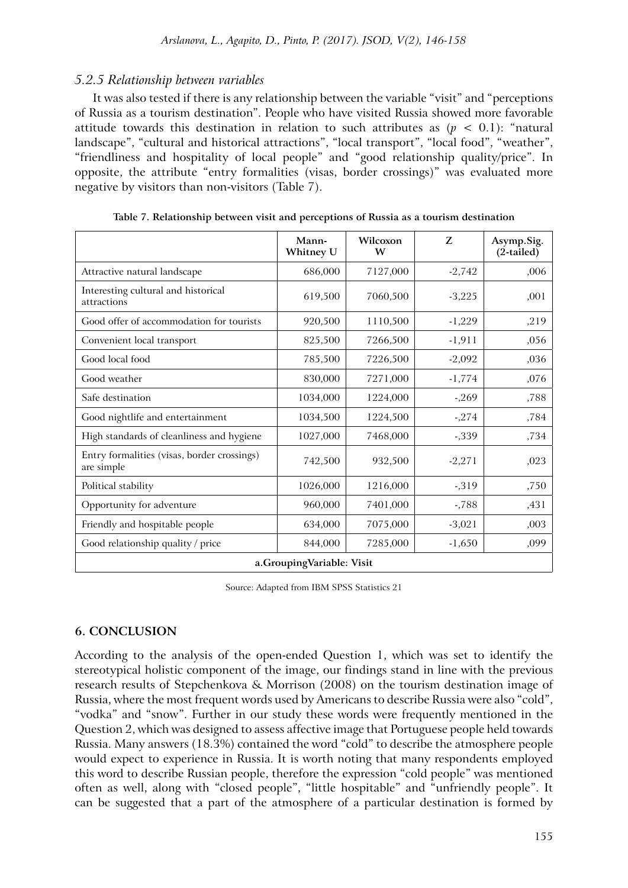# *5.2.5 Relationship between variables*

It was also tested if there is any relationship between the variable "visit" and "perceptions of Russia as a tourism destination". People who have visited Russia showed more favorable attitude towards this destination in relation to such attributes as  $(p < 0.1)$ : "natural landscape", "cultural and historical attractions", "local transport", "local food", "weather", "friendliness and hospitality of local people" and "good relationship quality/price". In opposite, the attribute "entry formalities (visas, border crossings)" was evaluated more negative by visitors than non-visitors (Table 7).

|                                                           | Mann-<br>Whitney U | Wilcoxon<br>W | Z        | Asymp.Sig.<br>$(2$ -tailed) |  |  |
|-----------------------------------------------------------|--------------------|---------------|----------|-----------------------------|--|--|
| Attractive natural landscape                              | 686,000            | 7127,000      | $-2,742$ | ,006                        |  |  |
| Interesting cultural and historical<br>attractions        | 619,500            | 7060,500      | $-3,225$ | ,001                        |  |  |
| Good offer of accommodation for tourists                  | 920,500            | 1110,500      | $-1,229$ | ,219                        |  |  |
| Convenient local transport                                | 825,500            | 7266,500      | $-1,911$ | ,056                        |  |  |
| Good local food                                           | 785,500            | 7226,500      | $-2,092$ | ,036                        |  |  |
| Good weather                                              | 830,000            | 7271,000      | $-1,774$ | ,076                        |  |  |
| Safe destination                                          | 1034,000           | 1224,000      | $-269$   | ,788                        |  |  |
| Good nightlife and entertainment                          | 1034,500           | 1224,500      | $-274$   | ,784                        |  |  |
| High standards of cleanliness and hygiene                 | 1027,000           | 7468,000      | $-339$   | ,734                        |  |  |
| Entry formalities (visas, border crossings)<br>are simple | 742,500            | 932,500       | $-2,271$ | ,023                        |  |  |
| Political stability                                       | 1026,000           | 1216,000      | $-319$   | ,750                        |  |  |
| Opportunity for adventure                                 | 960,000            | 7401,000      | $-788$   | ,431                        |  |  |
| Friendly and hospitable people                            | 634,000            | 7075,000      | $-3,021$ | ,003                        |  |  |
| Good relationship quality / price                         | 844,000            | 7285,000      | $-1,650$ | ,099                        |  |  |
| a.GroupingVariable: Visit                                 |                    |               |          |                             |  |  |

**Table 7. Relationship between visit and perceptions of Russia as a tourism destination**

Source: Adapted from IBM SPSS Statistics 21

# **6. CONCLUSION**

According to the analysis of the open-ended Question 1, which was set to identify the stereotypical holistic component of the image, our findings stand in line with the previous research results of Stepchenkova & Morrison (2008) on the tourism destination image of Russia, where the most frequent words used by Americans to describe Russia were also "cold", "vodka" and "snow". Further in our study these words were frequently mentioned in the Question 2, which was designed to assess affective image that Portuguese people held towards Russia. Many answers (18.3%) contained the word "cold" to describe the atmosphere people would expect to experience in Russia. It is worth noting that many respondents employed this word to describe Russian people, therefore the expression "cold people" was mentioned often as well, along with "closed people", "little hospitable" and "unfriendly people". It can be suggested that a part of the atmosphere of a particular destination is formed by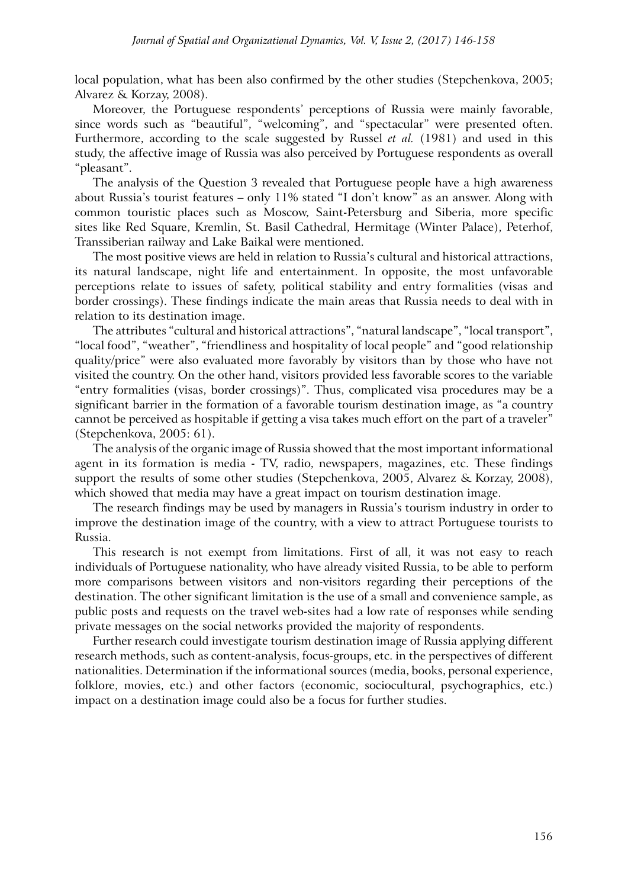local population, what has been also confirmed by the other studies (Stepchenkova, 2005; Alvarez & Korzay, 2008).

Moreover, the Portuguese respondents' perceptions of Russia were mainly favorable, since words such as "beautiful", "welcoming", and "spectacular" were presented often. Furthermore, according to the scale suggested by Russel *et al.* (1981) and used in this study, the affective image of Russia was also perceived by Portuguese respondents as overall "pleasant".

The analysis of the Question 3 revealed that Portuguese people have a high awareness about Russia's tourist features – only 11% stated "I don't know" as an answer. Along with common touristic places such as Moscow, Saint-Petersburg and Siberia, more specific sites like Red Square, Kremlin, St. Basil Cathedral, Hermitage (Winter Palace), Peterhof, Transsiberian railway and Lake Baikal were mentioned.

The most positive views are held in relation to Russia's cultural and historical attractions, its natural landscape, night life and entertainment. In opposite, the most unfavorable perceptions relate to issues of safety, political stability and entry formalities (visas and border crossings). These findings indicate the main areas that Russia needs to deal with in relation to its destination image.

The attributes "cultural and historical attractions", "natural landscape", "local transport", "local food", "weather", "friendliness and hospitality of local people" and "good relationship quality/price" were also evaluated more favorably by visitors than by those who have not visited the country. On the other hand, visitors provided less favorable scores to the variable "entry formalities (visas, border crossings)". Thus, complicated visa procedures may be a significant barrier in the formation of a favorable tourism destination image, as "a country cannot be perceived as hospitable if getting a visa takes much effort on the part of a traveler" (Stepchenkova, 2005: 61).

The analysis of the organic image of Russia showed that the most important informational agent in its formation is media - TV, radio, newspapers, magazines, etc. These findings support the results of some other studies (Stepchenkova, 2005, Alvarez & Korzay, 2008), which showed that media may have a great impact on tourism destination image.

The research findings may be used by managers in Russia's tourism industry in order to improve the destination image of the country, with a view to attract Portuguese tourists to Russia.

This research is not exempt from limitations. First of all, it was not easy to reach individuals of Portuguese nationality, who have already visited Russia, to be able to perform more comparisons between visitors and non-visitors regarding their perceptions of the destination. The other significant limitation is the use of a small and convenience sample, as public posts and requests on the travel web-sites had a low rate of responses while sending private messages on the social networks provided the majority of respondents.

Further research could investigate tourism destination image of Russia applying different research methods, such as content-analysis, focus-groups, etc. in the perspectives of different nationalities. Determination if the informational sources (media, books, personal experience, folklore, movies, etc.) and other factors (economic, sociocultural, psychographics, etc.) impact on a destination image could also be a focus for further studies.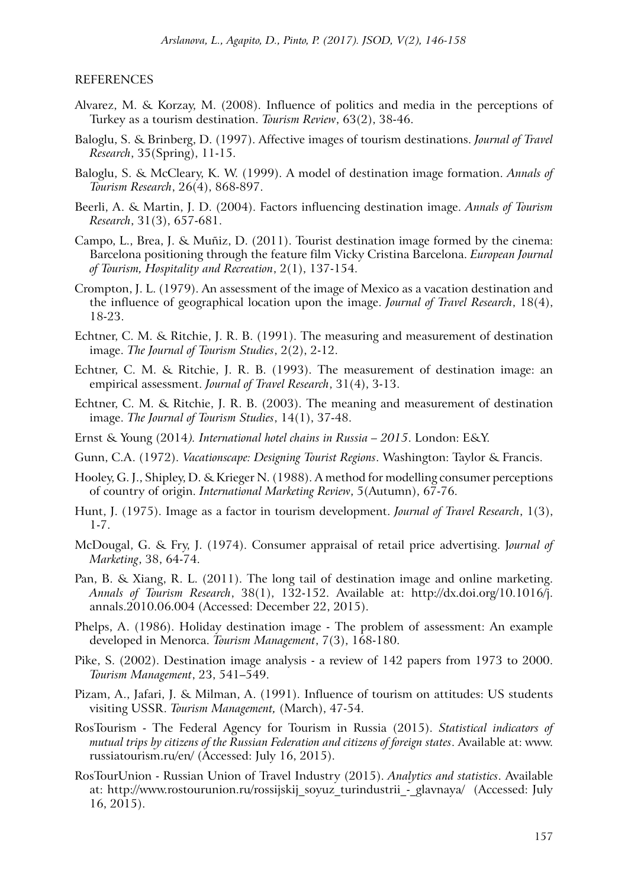### REFERENCES

- Alvarez, M. & Korzay, M. (2008). Influence of politics and media in the perceptions of Turkey as a tourism destination. *Tourism Review*, 63(2), 38-46.
- Baloglu, S. & Brinberg, D. (1997). Affective images of tourism destinations. *Journal of Travel Research*, 35(Spring), 11-15.
- Baloglu, S. & McCleary, K. W. (1999). A model of destination image formation. *Annals of Tourism Research*, 26(4), 868-897.
- Beerli, A. & Martin, J. D. (2004). Factors influencing destination image. *Annals of Tourism Research*, 31(3), 657-681.
- Campo, L., Brea, J. & Muñiz, D. (2011). Tourist destination image formed by the cinema: Barcelona positioning through the feature film Vicky Cristina Barcelona. *European Journal of Tourism, Hospitality and Recreation*, 2(1), 137-154.
- Crompton, J. L. (1979). An assessment of the image of Mexico as a vacation destination and the influence of geographical location upon the image. *Journal of Travel Research*, 18(4), 18-23.
- Echtner, C. M. & Ritchie, J. R. B. (1991). The measuring and measurement of destination image. *The Journal of Tourism Studies*, 2(2), 2-12.
- Echtner, C. M. & Ritchie, J. R. B. (1993). The measurement of destination image: an empirical assessment. *Journal of Travel Research*, 31(4), 3-13.
- Echtner, C. M. & Ritchie, J. R. B. (2003). The meaning and measurement of destination image. *The Journal of Tourism Studies*, 14(1), 37-48.
- Ernst & Young (2014*). International hotel chains in Russia 2015*. London: E&Y.
- Gunn, C.A. (1972). *Vacationscape: Designing Tourist Regions*. Washington: Taylor & Francis.
- Hooley, G. J., Shipley, D. & Krieger N. (1988). A method for modelling consumer perceptions of country of origin. *International Marketing Review*, 5(Autumn), 67-76.
- Hunt, J. (1975). Image as a factor in tourism development. *Journal of Travel Research*, 1(3), 1-7.
- McDougal, G. & Fry, J. (1974). Consumer appraisal of retail price advertising. J*ournal of Marketing*, 38, 64-74.
- Pan, B. & Xiang, R. L. (2011). The long tail of destination image and online marketing. *Annals of Tourism Research*, 38(1), 132-152. Available at: http://dx.doi.org/10.1016/j. annals.2010.06.004 (Accessed: December 22, 2015).
- Phelps, A. (1986). Holiday destination image The problem of assessment: An example developed in Menorca. *Tourism Management*, 7(3), 168-180.
- Pike, S. (2002). Destination image analysis a review of 142 papers from 1973 to 2000. *Tourism Management*, 23, 541–549.
- Pizam, A., Jafari, J. & Milman, A. (1991). Influence of tourism on attitudes: US students visiting USSR. *Tourism Management,* (March), 47-54.
- RosTourism The Federal Agency for Tourism in Russia (2015). *Statistical indicators of mutual trips by citizens of the Russian Federation and citizens of foreign states*. Available at: www. russiatourism.ru/en/ (Accessed: July 16, 2015).
- RosTourUnion Russian Union of Travel Industry (2015). *Analytics and statistics*. Available at: http://www.rostourunion.ru/rossijskij\_soyuz\_turindustrii\_-\_glavnaya/ (Accessed: July 16, 2015).